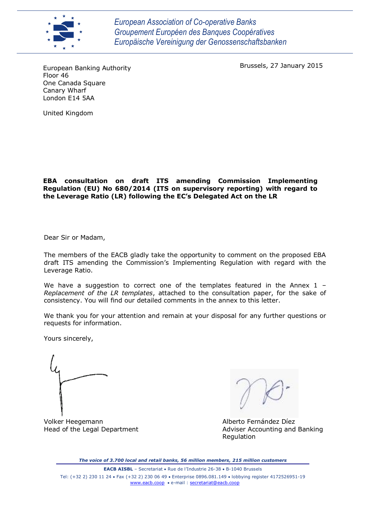

*European Association of Co-operative Banks Groupement Européen des Banques Coopératives Europäische Vereinigung der Genossenschaftsbanken*

Brussels, 27 January 2015

European Banking Authority Floor 46 One Canada Square Canary Wharf London E14 5AA

United Kingdom

## **EBA consultation on draft ITS amending Commission Implementing Regulation (EU) No 680/2014 (ITS on supervisory reporting) with regard to the Leverage Ratio (LR) following the EC's Delegated Act on the LR**

Dear Sir or Madam,

The members of the EACB gladly take the opportunity to comment on the proposed EBA draft ITS amending the Commission's Implementing Regulation with regard with the Leverage Ratio.

We have a suggestion to correct one of the templates featured in the Annex  $1 -$ *Replacement of the LR templates*, attached to the consultation paper, for the sake of consistency. You will find our detailed comments in the annex to this letter.

We thank you for your attention and remain at your disposal for any further questions or requests for information.

Yours sincerely,

Volker Heegemann Alberto Fernández Díez

Head of the Legal Department **Adviser Accounting and Banking** Regulation

*The voice of 3.700 local and retail banks, 56 million members, 215 million customers*